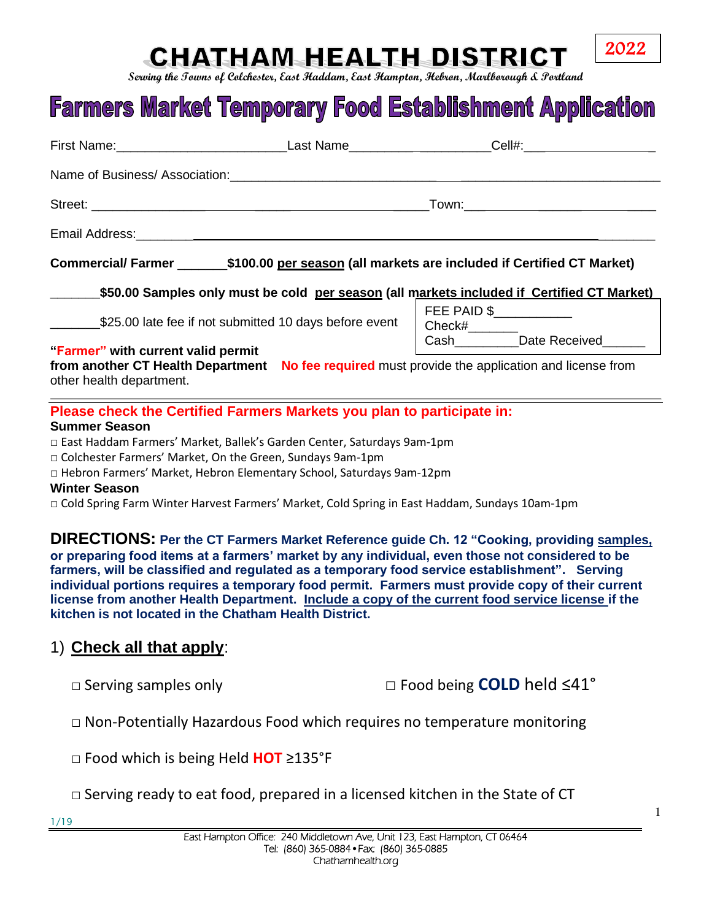## **CHATHAM HEALTH DISTRICT**

**Serving the Towns of Colchester, East Haddam, East Hampton, Hebron, Marlborough & Portland**

# **Farmers Market Temporary Food Establishment Application**

|                                                                                                                                         |                                                        | Commercial/ Farmer _________\$100.00 per season (all markets are included if Certified CT Market) |  |  |
|-----------------------------------------------------------------------------------------------------------------------------------------|--------------------------------------------------------|---------------------------------------------------------------------------------------------------|--|--|
| \$50.00 Samples only must be cold per season (all markets included if Certified CT Market)                                              |                                                        |                                                                                                   |  |  |
|                                                                                                                                         | \$25.00 late fee if not submitted 10 days before event | FEE PAID \$                                                                                       |  |  |
| "Farmer" with current valid permit                                                                                                      |                                                        |                                                                                                   |  |  |
| other health department.                                                                                                                |                                                        | from another CT Health Department No fee required must provide the application and license from   |  |  |
| Please check the Certified Farmers Markets you plan to participate in:<br><b>Summer Season</b>                                          |                                                        |                                                                                                   |  |  |
| □ East Haddam Farmers' Market, Ballek's Garden Center, Saturdays 9am-1pm<br>□ Colchester Farmers' Market, On the Green, Sundays 9am-1pm |                                                        |                                                                                                   |  |  |

□ Hebron Farmers' Market, Hebron Elementary School, Saturdays 9am-12pm

**Winter Season**

□ Cold Spring Farm Winter Harvest Farmers' Market, Cold Spring in East Haddam, Sundays 10am-1pm

**DIRECTIONS: Per the CT Farmers Market Reference guide Ch. 12 "Cooking, providing samples, or preparing food items at a farmers' market by any individual, even those not considered to be farmers, will be classified and regulated as a temporary food service establishment". Serving individual portions requires a temporary food permit. Farmers must provide copy of their current license from another Health Department. Include a copy of the current food service license if the kitchen is not located in the Chatham Health District.**

#### 1) **Check all that apply**:

□ Serving samples only □ Food being **COLD** held ≤41°

 $\Box$  Non-Potentially Hazardous Food which requires no temperature monitoring

□ Food which is being Held **HOT** ≥135°F

- $\Box$  Serving ready to eat food, prepared in a licensed kitchen in the State of CT
- 1/19

2022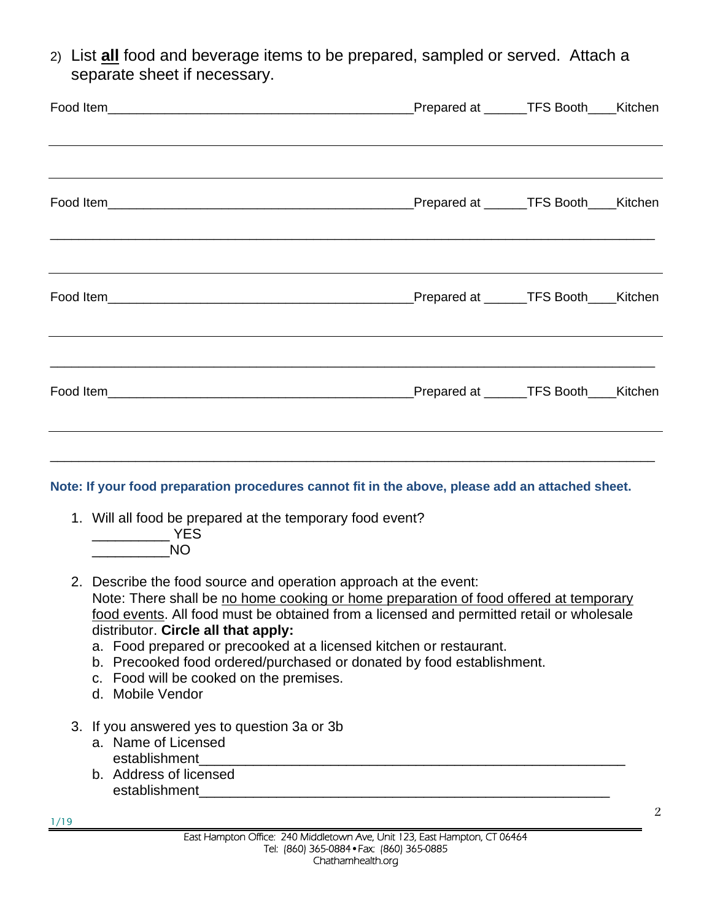2) List **all** food and beverage items to be prepared, sampled or served. Attach a separate sheet if necessary.

|                                                                                                                                                                                                                                                                                                                                                                                                                                                                                                                                                                                                                                                                                                                                       | Prepared at ______TFS Booth____Kitchen |  |
|---------------------------------------------------------------------------------------------------------------------------------------------------------------------------------------------------------------------------------------------------------------------------------------------------------------------------------------------------------------------------------------------------------------------------------------------------------------------------------------------------------------------------------------------------------------------------------------------------------------------------------------------------------------------------------------------------------------------------------------|----------------------------------------|--|
|                                                                                                                                                                                                                                                                                                                                                                                                                                                                                                                                                                                                                                                                                                                                       |                                        |  |
|                                                                                                                                                                                                                                                                                                                                                                                                                                                                                                                                                                                                                                                                                                                                       |                                        |  |
|                                                                                                                                                                                                                                                                                                                                                                                                                                                                                                                                                                                                                                                                                                                                       |                                        |  |
| Note: If your food preparation procedures cannot fit in the above, please add an attached sheet.<br>1. Will all food be prepared at the temporary food event?<br>$\overline{\phantom{iiiiiiiiiiiiiiiiiiiiiiiiiiiiiiiiii}}$ YES<br><b>NO</b><br>2. Describe the food source and operation approach at the event:<br>Note: There shall be no home cooking or home preparation of food offered at temporary<br>food events. All food must be obtained from a licensed and permitted retail or wholesale<br>distributor. Circle all that apply:<br>a. Food prepared or precooked at a licensed kitchen or restaurant.<br>b. Precooked food ordered/purchased or donated by food establishment.<br>c. Food will be cooked on the premises. |                                        |  |

- d. Mobile Vendor
- 3. If you answered yes to question 3a or 3b
	- a. Name of Licensed establishment
	- b. Address of licensed establishment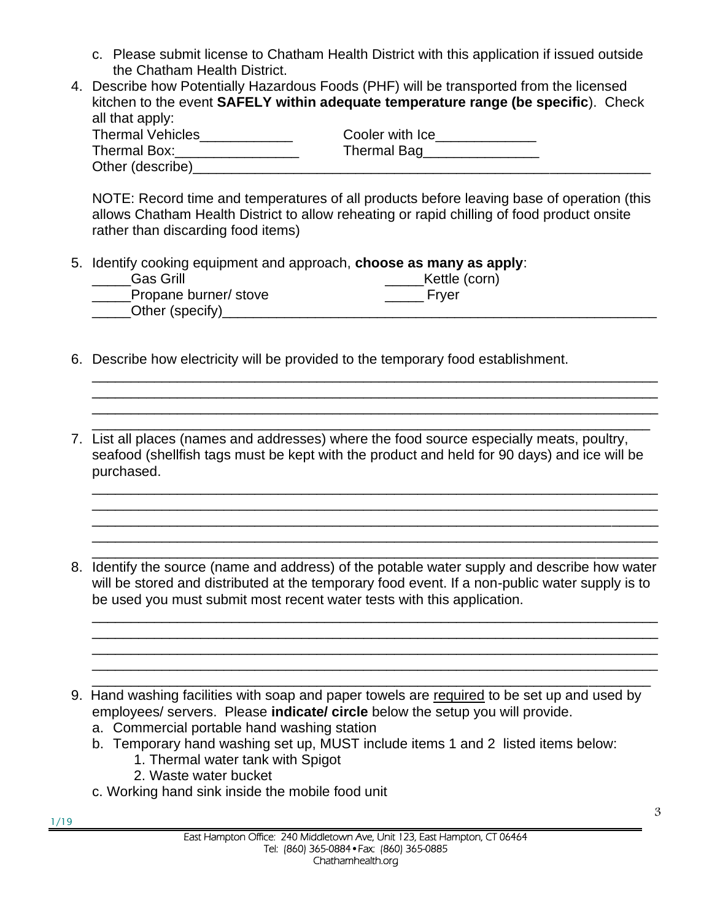- c. Please submit license to Chatham Health District with this application if issued outside the Chatham Health District.
- 4. Describe how Potentially Hazardous Foods (PHF) will be transported from the licensed kitchen to the event **SAFELY within adequate temperature range (be specific**). Check all that apply:

| <b>Thermal Vehicles</b> | Cooler with Ice |
|-------------------------|-----------------|
| Thermal Box:            | Thermal Bag     |
| Other (describe)        |                 |

NOTE: Record time and temperatures of all products before leaving base of operation (this allows Chatham Health District to allow reheating or rapid chilling of food product onsite rather than discarding food items)

5. Identify cooking equipment and approach, **choose as many as apply**:

| Gas Grill             | Kettle (corn) |
|-----------------------|---------------|
| Propane burner/ stove | Frver         |
| Other (specify)       |               |

- 6. Describe how electricity will be provided to the temporary food establishment.
- \_\_\_\_\_\_\_\_\_\_\_\_\_\_\_\_\_\_\_\_\_\_\_\_\_\_\_\_\_\_\_\_\_\_\_\_\_\_\_\_\_\_\_\_\_\_\_\_\_\_\_\_\_\_\_\_\_\_\_\_\_\_\_\_\_\_\_\_\_\_\_\_ 7. List all places (names and addresses) where the food source especially meats, poultry, seafood (shellfish tags must be kept with the product and held for 90 days) and ice will be purchased.

\_\_\_\_\_\_\_\_\_\_\_\_\_\_\_\_\_\_\_\_\_\_\_\_\_\_\_\_\_\_\_\_\_\_\_\_\_\_\_\_\_\_\_\_\_\_\_\_\_\_\_\_\_\_\_\_\_\_\_\_\_\_\_\_\_\_\_\_\_\_\_\_\_ \_\_\_\_\_\_\_\_\_\_\_\_\_\_\_\_\_\_\_\_\_\_\_\_\_\_\_\_\_\_\_\_\_\_\_\_\_\_\_\_\_\_\_\_\_\_\_\_\_\_\_\_\_\_\_\_\_\_\_\_\_\_\_\_\_\_\_\_\_\_\_\_\_ \_\_\_\_\_\_\_\_\_\_\_\_\_\_\_\_\_\_\_\_\_\_\_\_\_\_\_\_\_\_\_\_\_\_\_\_\_\_\_\_\_\_\_\_\_\_\_\_\_\_\_\_\_\_\_\_\_\_\_\_\_\_\_\_\_\_\_\_\_\_\_\_\_

\_\_\_\_\_\_\_\_\_\_\_\_\_\_\_\_\_\_\_\_\_\_\_\_\_\_\_\_\_\_\_\_\_\_\_\_\_\_\_\_\_\_\_\_\_\_\_\_\_\_\_\_\_\_\_\_\_\_\_\_\_\_\_\_\_\_\_\_\_\_\_\_\_ \_\_\_\_\_\_\_\_\_\_\_\_\_\_\_\_\_\_\_\_\_\_\_\_\_\_\_\_\_\_\_\_\_\_\_\_\_\_\_\_\_\_\_\_\_\_\_\_\_\_\_\_\_\_\_\_\_\_\_\_\_\_\_\_\_\_\_\_\_\_\_\_\_ \_\_\_\_\_\_\_\_\_\_\_\_\_\_\_\_\_\_\_\_\_\_\_\_\_\_\_\_\_\_\_\_\_\_\_\_\_\_\_\_\_\_\_\_\_\_\_\_\_\_\_\_\_\_\_\_\_\_\_\_\_\_\_\_\_\_\_\_\_\_\_\_\_ \_\_\_\_\_\_\_\_\_\_\_\_\_\_\_\_\_\_\_\_\_\_\_\_\_\_\_\_\_\_\_\_\_\_\_\_\_\_\_\_\_\_\_\_\_\_\_\_\_\_\_\_\_\_\_\_\_\_\_\_\_\_\_\_\_\_\_\_\_\_\_\_\_

\_\_\_\_\_\_\_\_\_\_\_\_\_\_\_\_\_\_\_\_\_\_\_\_\_\_\_\_\_\_\_\_\_\_\_\_\_\_\_\_\_\_\_\_\_\_\_\_\_\_\_\_\_\_\_\_\_\_\_\_\_\_\_\_\_\_\_\_\_\_\_\_\_ 8. Identify the source (name and address) of the potable water supply and describe how water will be stored and distributed at the temporary food event. If a non-public water supply is to be used you must submit most recent water tests with this application. \_\_\_\_\_\_\_\_\_\_\_\_\_\_\_\_\_\_\_\_\_\_\_\_\_\_\_\_\_\_\_\_\_\_\_\_\_\_\_\_\_\_\_\_\_\_\_\_\_\_\_\_\_\_\_\_\_\_\_\_\_\_\_\_\_\_\_\_\_\_\_\_\_

\_\_\_\_\_\_\_\_\_\_\_\_\_\_\_\_\_\_\_\_\_\_\_\_\_\_\_\_\_\_\_\_\_\_\_\_\_\_\_\_\_\_\_\_\_\_\_\_\_\_\_\_\_\_\_\_\_\_\_\_\_\_\_\_\_\_\_\_\_\_\_\_\_ \_\_\_\_\_\_\_\_\_\_\_\_\_\_\_\_\_\_\_\_\_\_\_\_\_\_\_\_\_\_\_\_\_\_\_\_\_\_\_\_\_\_\_\_\_\_\_\_\_\_\_\_\_\_\_\_\_\_\_\_\_\_\_\_\_\_\_\_\_\_\_\_\_ \_\_\_\_\_\_\_\_\_\_\_\_\_\_\_\_\_\_\_\_\_\_\_\_\_\_\_\_\_\_\_\_\_\_\_\_\_\_\_\_\_\_\_\_\_\_\_\_\_\_\_\_\_\_\_\_\_\_\_\_\_\_\_\_\_\_\_\_\_\_\_\_\_

- \_\_\_\_\_\_\_\_\_\_\_\_\_\_\_\_\_\_\_\_\_\_\_\_\_\_\_\_\_\_\_\_\_\_\_\_\_\_\_\_\_\_\_\_\_\_\_\_\_\_\_\_\_\_\_\_\_\_\_\_\_\_\_\_\_\_\_\_\_\_\_\_ 9. Hand washing facilities with soap and paper towels are required to be set up and used by employees/ servers. Please **indicate/ circle** below the setup you will provide.
	- a. Commercial portable hand washing station
	- b. Temporary hand washing set up, MUST include items 1 and 2 listed items below: 1. Thermal water tank with Spigot
		- 2. Waste water bucket
	- c. Working hand sink inside the mobile food unit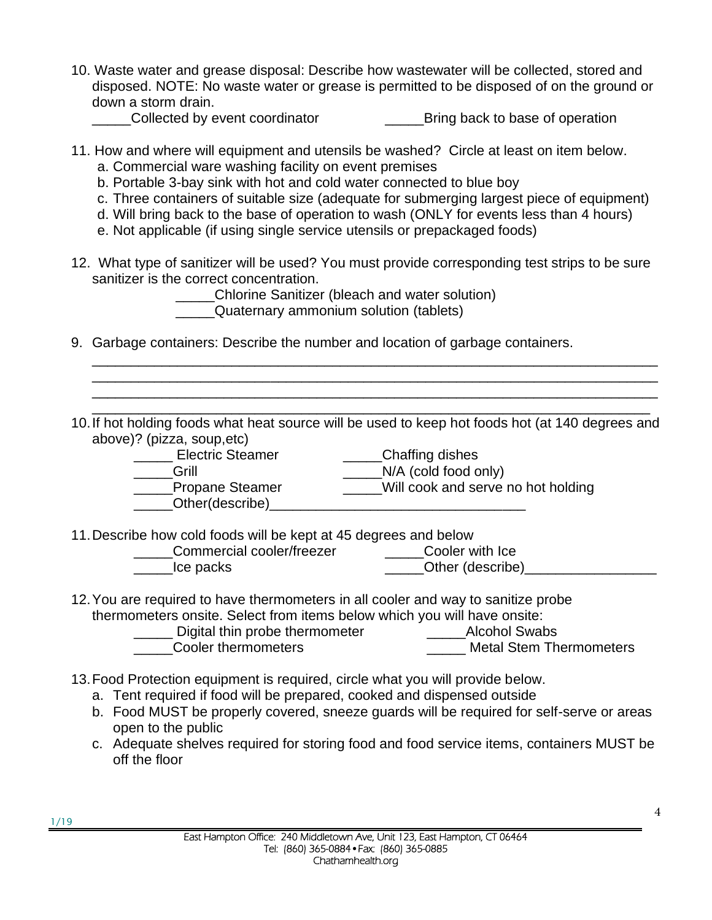10. Waste water and grease disposal: Describe how wastewater will be collected, stored and disposed. NOTE: No waste water or grease is permitted to be disposed of on the ground or down a storm drain.

\_\_\_\_\_Collected by event coordinator \_\_\_\_\_Bring back to base of operation

- 11. How and where will equipment and utensils be washed? Circle at least on item below. a. Commercial ware washing facility on event premises
	- b. Portable 3-bay sink with hot and cold water connected to blue boy
	- c. Three containers of suitable size (adequate for submerging largest piece of equipment)
	- d. Will bring back to the base of operation to wash (ONLY for events less than 4 hours)
	- e. Not applicable (if using single service utensils or prepackaged foods)
- 12. What type of sanitizer will be used? You must provide corresponding test strips to be sure sanitizer is the correct concentration.

\_\_\_\_\_Chlorine Sanitizer (bleach and water solution)

\_\_\_\_\_Quaternary ammonium solution (tablets)

9. Garbage containers: Describe the number and location of garbage containers.

\_\_\_\_\_\_\_\_\_\_\_\_\_\_\_\_\_\_\_\_\_\_\_\_\_\_\_\_\_\_\_\_\_\_\_\_\_\_\_\_\_\_\_\_\_\_\_\_\_\_\_\_\_\_\_\_\_\_\_\_\_\_\_\_\_\_\_\_\_\_\_\_ 10.If hot holding foods what heat source will be used to keep hot foods hot (at 140 degrees and above)? (pizza, soup,etc)

\_\_\_\_\_\_\_\_\_\_\_\_\_\_\_\_\_\_\_\_\_\_\_\_\_\_\_\_\_\_\_\_\_\_\_\_\_\_\_\_\_\_\_\_\_\_\_\_\_\_\_\_\_\_\_\_\_\_\_\_\_\_\_\_\_\_\_\_\_\_\_\_\_ \_\_\_\_\_\_\_\_\_\_\_\_\_\_\_\_\_\_\_\_\_\_\_\_\_\_\_\_\_\_\_\_\_\_\_\_\_\_\_\_\_\_\_\_\_\_\_\_\_\_\_\_\_\_\_\_\_\_\_\_\_\_\_\_\_\_\_\_\_\_\_\_\_ \_\_\_\_\_\_\_\_\_\_\_\_\_\_\_\_\_\_\_\_\_\_\_\_\_\_\_\_\_\_\_\_\_\_\_\_\_\_\_\_\_\_\_\_\_\_\_\_\_\_\_\_\_\_\_\_\_\_\_\_\_\_\_\_\_\_\_\_\_\_\_\_\_

- Electric Steamer **Electric Steamer Electric Steamer Electric** Steamer Grill Grill  $N/A$  (cold food only)
- Propane Steamer \_\_\_\_\_\_Will cook and serve no hot holding
- \_\_\_\_\_\_Other(describe)\_\_\_\_\_\_

11.Describe how cold foods will be kept at 45 degrees and below

- \_\_\_\_\_Commercial cooler/freezer \_\_\_\_\_Cooler with Ice
- \_\_\_\_\_Ice packs \_\_\_\_\_Other (describe)\_\_\_\_\_\_\_\_\_\_\_\_\_\_\_\_\_\_\_
- 12.You are required to have thermometers in all cooler and way to sanitize probe thermometers onsite. Select from items below which you will have onsite:
	- Louis Digital thin probe thermometer **Louis 2** Alcohol Swabs
	- \_\_\_\_\_Cooler thermometers \_\_\_\_\_ Metal Stem Thermometers
- 13.Food Protection equipment is required, circle what you will provide below.
	- a. Tent required if food will be prepared, cooked and dispensed outside
	- b. Food MUST be properly covered, sneeze guards will be required for self-serve or areas open to the public
	- c. Adequate shelves required for storing food and food service items, containers MUST be off the floor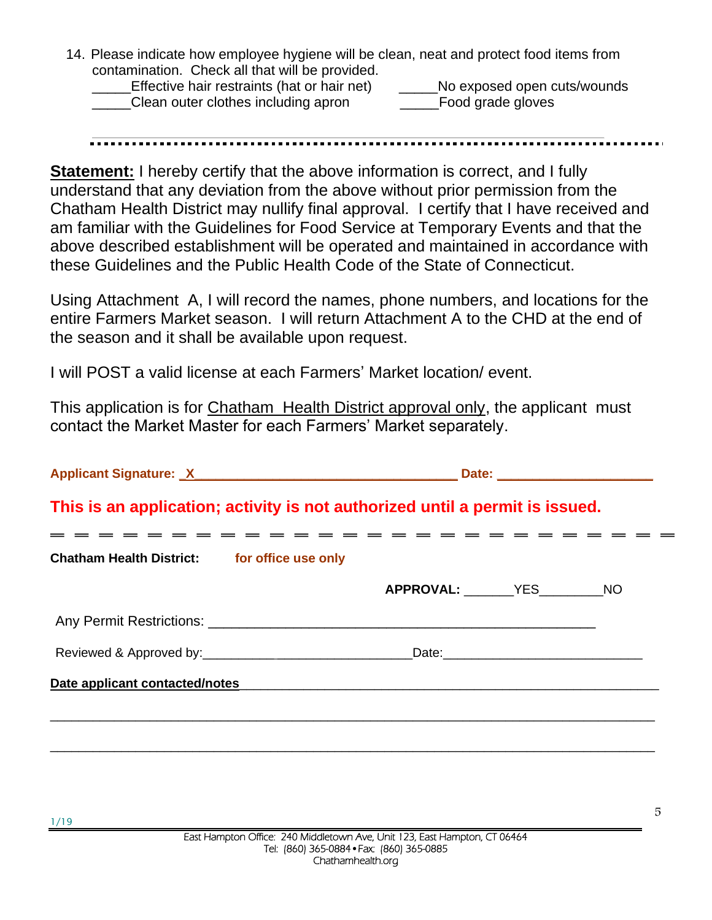14. Please indicate how employee hygiene will be clean, neat and protect food items from contamination. Check all that will be provided.

Effective hair restraints (hat or hair net) \_\_\_\_\_\_\_No exposed open cuts/wounds Clean outer clothes including apron The Second grade gloves

**Statement:** I hereby certify that the above information is correct, and I fully understand that any deviation from the above without prior permission from the Chatham Health District may nullify final approval. I certify that I have received and am familiar with the Guidelines for Food Service at Temporary Events and that the above described establishment will be operated and maintained in accordance with these Guidelines and the Public Health Code of the State of Connecticut.

Using Attachment A, I will record the names, phone numbers, and locations for the entire Farmers Market season. I will return Attachment A to the CHD at the end of the season and it shall be available upon request.

I will POST a valid license at each Farmers' Market location/ event.

This application is for Chatham Health District approval only, the applicant must contact the Market Master for each Farmers' Market separately.

| This is an application; activity is not authorized until a permit is issued. |  |                  |                   |  |  |
|------------------------------------------------------------------------------|--|------------------|-------------------|--|--|
| <b>Chatham Health District:</b> for office use only                          |  |                  | = = = = = = = = = |  |  |
|                                                                              |  | APPROVAL: YES NO |                   |  |  |
|                                                                              |  |                  |                   |  |  |
|                                                                              |  |                  |                   |  |  |
|                                                                              |  |                  |                   |  |  |
|                                                                              |  |                  |                   |  |  |
|                                                                              |  |                  |                   |  |  |

5